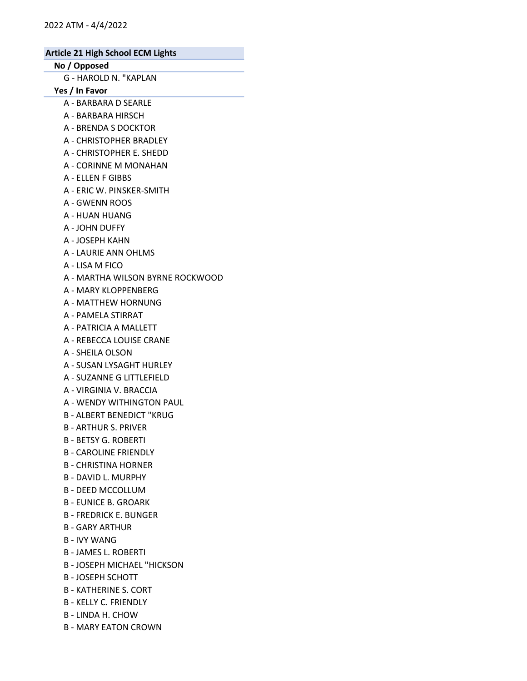# No / Opposed

G - HAROLD N. "KAPLAN

Yes / In Favor

- A BARBARA D SEARLE
- A BARBARA HIRSCH
- A BRENDA S DOCKTOR
- A CHRISTOPHER BRADLEY
- A CHRISTOPHER E. SHEDD
- A CORINNE M MONAHAN
- A ELLEN F GIBBS
- A ERIC W. PINSKER-SMITH
- A GWENN ROOS
- A HUAN HUANG
- A JOHN DUFFY
- A JOSEPH KAHN
- A LAURIE ANN OHLMS
- A LISA M FICO
- A MARTHA WILSON BYRNE ROCKWOOD
- A MARY KLOPPENBERG
- A MATTHEW HORNUNG
- A PAMELA STIRRAT
- A PATRICIA A MALLETT
- A REBECCA LOUISE CRANE
- A SHEILA OLSON
- A SUSAN LYSAGHT HURLEY
- A SUZANNE G LITTLEFIELD
- A VIRGINIA V. BRACCIA
- A WENDY WITHINGTON PAUL
- B ALBERT BENEDICT "KRUG
- B ARTHUR S. PRIVER
- B BETSY G. ROBERTI
- B CAROLINE FRIENDLY
- B CHRISTINA HORNER
- B DAVID L. MURPHY
- B DEED MCCOLLUM
- B EUNICE B. GROARK
- B FREDRICK E. BUNGER
- B GARY ARTHUR
- B IVY WANG
- B JAMES L. ROBERTI
- B JOSEPH MICHAEL "HICKSON
- B JOSEPH SCHOTT
- B KATHERINE S. CORT
- B KELLY C. FRIENDLY
- B LINDA H. CHOW
- B MARY EATON CROWN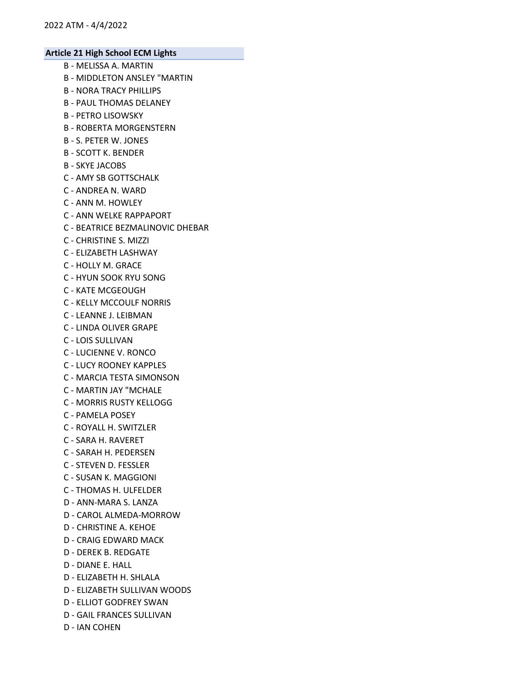- B MELISSA A. MARTIN
- B MIDDLETON ANSLEY "MARTIN
- B NORA TRACY PHILLIPS
- B PAUL THOMAS DELANEY
- B PETRO LISOWSKY
- B ROBERTA MORGENSTERN
- B S. PETER W. JONES
- B SCOTT K. BENDER
- B SKYE JACOBS
- C AMY SB GOTTSCHALK
- C ANDREA N. WARD
- C ANN M. HOWLEY
- C ANN WELKE RAPPAPORT
- C BEATRICE BEZMALINOVIC DHEBAR
- C CHRISTINE S. MIZZI
- C ELIZABETH LASHWAY
- C HOLLY M. GRACE
- C HYUN SOOK RYU SONG
- C KATE MCGEOUGH
- C KELLY MCCOULF NORRIS
- C LEANNE J. LEIBMAN
- C LINDA OLIVER GRAPE
- C LOIS SULLIVAN
- C LUCIENNE V. RONCO
- C LUCY ROONEY KAPPLES
- C MARCIA TESTA SIMONSON
- C MARTIN JAY "MCHALE
- C MORRIS RUSTY KELLOGG
- C PAMELA POSEY
- C ROYALL H. SWITZLER
- C SARA H. RAVERET
- C SARAH H. PEDERSEN
- C STEVEN D. FESSLER
- C SUSAN K. MAGGIONI
- C THOMAS H. ULFELDER
- D ANN-MARA S. LANZA
- D CAROL ALMEDA-MORROW
- D CHRISTINE A. KEHOE
- D CRAIG EDWARD MACK
- D DEREK B. REDGATE
- D DIANE E. HALL
- D ELIZABETH H. SHLALA
- D ELIZABETH SULLIVAN WOODS
- D ELLIOT GODFREY SWAN
- D GAIL FRANCES SULLIVAN
- D IAN COHEN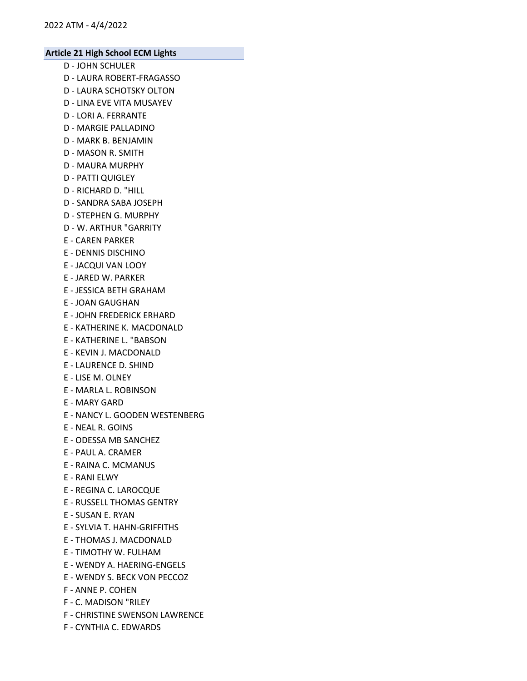- D JOHN SCHULER
- D LAURA ROBERT-FRAGASSO
- D LAURA SCHOTSKY OLTON
- D LINA EVE VITA MUSAYEV
- D LORI A. FERRANTE
- D MARGIE PALLADINO
- D MARK B. BENJAMIN
- D MASON R. SMITH
- D MAURA MURPHY
- D PATTI QUIGLEY
- D RICHARD D. "HILL
- D SANDRA SABA JOSEPH
- D STEPHEN G. MURPHY
- D W. ARTHUR "GARRITY
- E CAREN PARKER
- E DENNIS DISCHINO
- E JACQUI VAN LOOY
- E JARED W. PARKER
- E JESSICA BETH GRAHAM
- E JOAN GAUGHAN
- E JOHN FREDERICK ERHARD
- E KATHERINE K. MACDONALD
- E KATHERINE L. "BABSON
- E KEVIN J. MACDONALD
- E LAURENCE D. SHIND
- E LISE M. OLNEY
- E MARLA L. ROBINSON
- E MARY GARD
- E NANCY L. GOODEN WESTENBERG
- E NEAL R. GOINS
- E ODESSA MB SANCHEZ
- E PAUL A. CRAMER
- E RAINA C. MCMANUS
- E RANI ELWY
- E REGINA C. LAROCQUE
- E RUSSELL THOMAS GENTRY
- E SUSAN E. RYAN
- E SYLVIA T. HAHN-GRIFFITHS
- E THOMAS J. MACDONALD
- E TIMOTHY W. FULHAM
- E WENDY A. HAERING-ENGELS
- E WENDY S. BECK VON PECCOZ
- F ANNE P. COHEN
- F C. MADISON "RILEY
- F CHRISTINE SWENSON LAWRENCE
- F CYNTHIA C. EDWARDS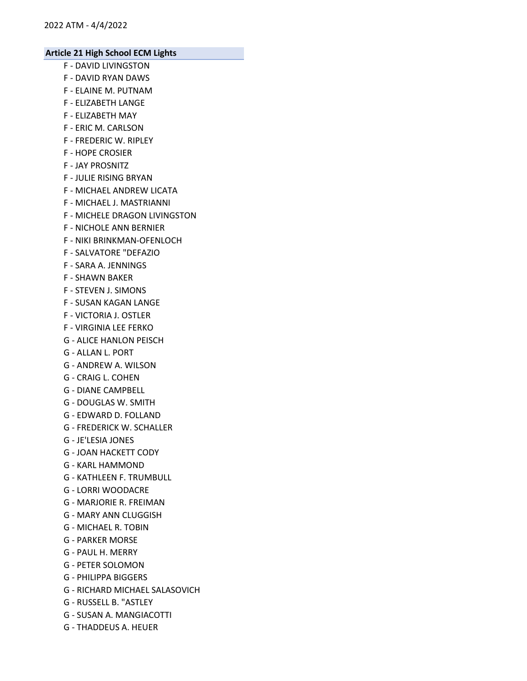- F DAVID LIVINGSTON
- F DAVID RYAN DAWS
- F ELAINE M. PUTNAM
- F ELIZABETH LANGE
- F ELIZABETH MAY
- F ERIC M. CARLSON
- F FREDERIC W. RIPLEY
- F HOPE CROSIER
- F JAY PROSNITZ
- F JULIE RISING BRYAN
- F MICHAEL ANDREW LICATA
- F MICHAEL J. MASTRIANNI
- F MICHELE DRAGON LIVINGSTON
- F NICHOLE ANN BERNIER
- F NIKI BRINKMAN-OFENLOCH
- F SALVATORE "DEFAZIO
- F SARA A. JENNINGS
- F SHAWN BAKER
- F STEVEN J. SIMONS
- F SUSAN KAGAN LANGE
- F VICTORIA J. OSTLER
- F VIRGINIA LEE FERKO
- G ALICE HANLON PEISCH
- G ALLAN L. PORT
- G ANDREW A. WILSON
- G CRAIG L. COHEN
- G DIANE CAMPBELL
- G DOUGLAS W. SMITH
- G EDWARD D. FOLLAND
- G FREDERICK W. SCHALLER
- G JE'LESIA JONES
- G JOAN HACKETT CODY
- G KARL HAMMOND
- G KATHLEEN F. TRUMBULL
- G LORRI WOODACRE
- G MARJORIE R. FREIMAN
- G MARY ANN CLUGGISH
- G MICHAEL R. TOBIN
- G PARKER MORSE
- G PAUL H. MERRY
- G PETER SOLOMON
- G PHILIPPA BIGGERS
- G RICHARD MICHAEL SALASOVICH
- G RUSSELL B. "ASTLEY
- G SUSAN A. MANGIACOTTI
- G THADDEUS A. HEUER